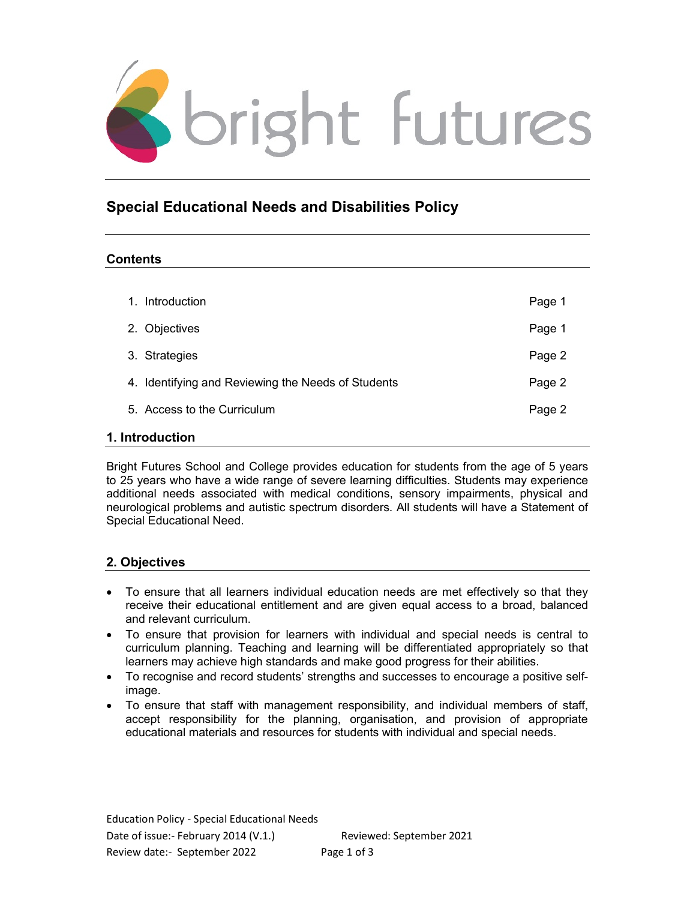

# Special Educational Needs and Disabilities Policy

### **Contents**

| $\mathbf{1}$ .                        | Introduction                                       | Page 1 |
|---------------------------------------|----------------------------------------------------|--------|
|                                       | 2. Objectives                                      | Page 1 |
|                                       | 3. Strategies                                      | Page 2 |
|                                       | 4. Identifying and Reviewing the Needs of Students | Page 2 |
|                                       | 5. Access to the Curriculum                        | Page 2 |
| المستحلف والمستقل والمستحدث والمتناور |                                                    |        |

### 1. Introduction

Bright Futures School and College provides education for students from the age of 5 years to 25 years who have a wide range of severe learning difficulties. Students may experience additional needs associated with medical conditions, sensory impairments, physical and neurological problems and autistic spectrum disorders. All students will have a Statement of Special Educational Need.

## 2. Objectives

- To ensure that all learners individual education needs are met effectively so that they receive their educational entitlement and are given equal access to a broad, balanced and relevant curriculum.
- To ensure that provision for learners with individual and special needs is central to curriculum planning. Teaching and learning will be differentiated appropriately so that learners may achieve high standards and make good progress for their abilities.
- To recognise and record students' strengths and successes to encourage a positive selfimage.
- To ensure that staff with management responsibility, and individual members of staff, accept responsibility for the planning, organisation, and provision of appropriate educational materials and resources for students with individual and special needs.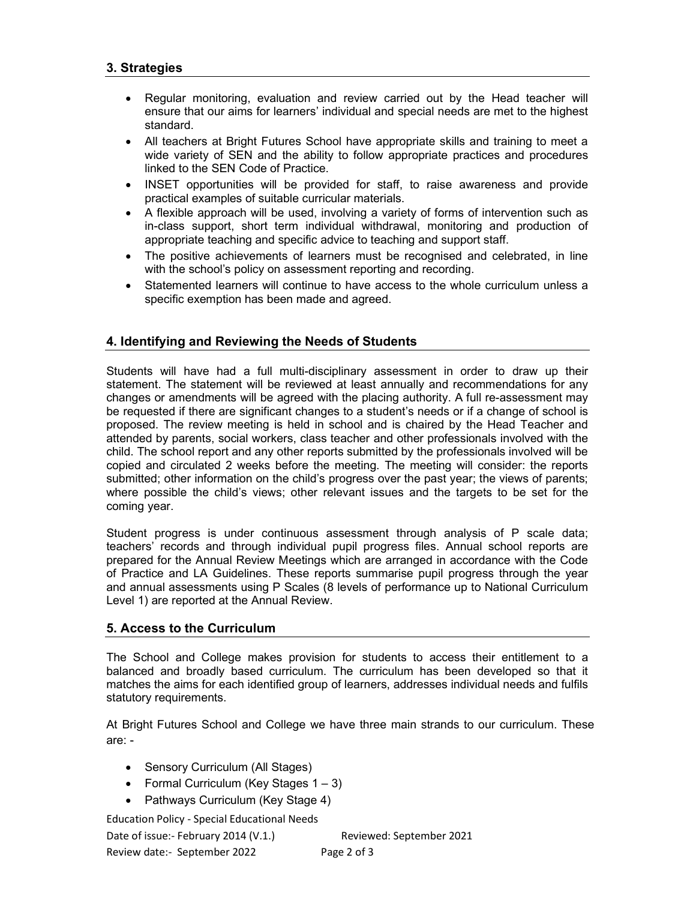### 3. Strategies

- Regular monitoring, evaluation and review carried out by the Head teacher will ensure that our aims for learners' individual and special needs are met to the highest standard.
- All teachers at Bright Futures School have appropriate skills and training to meet a wide variety of SEN and the ability to follow appropriate practices and procedures linked to the SEN Code of Practice.
- INSET opportunities will be provided for staff, to raise awareness and provide practical examples of suitable curricular materials.
- A flexible approach will be used, involving a variety of forms of intervention such as in-class support, short term individual withdrawal, monitoring and production of appropriate teaching and specific advice to teaching and support staff.
- The positive achievements of learners must be recognised and celebrated, in line with the school's policy on assessment reporting and recording.
- Statemented learners will continue to have access to the whole curriculum unless a specific exemption has been made and agreed.

### 4. Identifying and Reviewing the Needs of Students

Students will have had a full multi-disciplinary assessment in order to draw up their statement. The statement will be reviewed at least annually and recommendations for any changes or amendments will be agreed with the placing authority. A full re-assessment may be requested if there are significant changes to a student's needs or if a change of school is proposed. The review meeting is held in school and is chaired by the Head Teacher and attended by parents, social workers, class teacher and other professionals involved with the child. The school report and any other reports submitted by the professionals involved will be copied and circulated 2 weeks before the meeting. The meeting will consider: the reports submitted; other information on the child's progress over the past year; the views of parents; where possible the child's views; other relevant issues and the targets to be set for the coming year.

Student progress is under continuous assessment through analysis of P scale data; teachers' records and through individual pupil progress files. Annual school reports are prepared for the Annual Review Meetings which are arranged in accordance with the Code of Practice and LA Guidelines. These reports summarise pupil progress through the year and annual assessments using P Scales (8 levels of performance up to National Curriculum Level 1) are reported at the Annual Review.

#### 5. Access to the Curriculum

The School and College makes provision for students to access their entitlement to a balanced and broadly based curriculum. The curriculum has been developed so that it matches the aims for each identified group of learners, addresses individual needs and fulfils statutory requirements.

At Bright Futures School and College we have three main strands to our curriculum. These are: -

- Sensory Curriculum (All Stages)
- Formal Curriculum (Key Stages  $1 3$ )
- Pathways Curriculum (Key Stage 4)

Education Policy - Special Educational Needs Date of issue:- February 2014 (V.1.) Reviewed: September 2021 Review date:- September 2022 Page 2 of 3